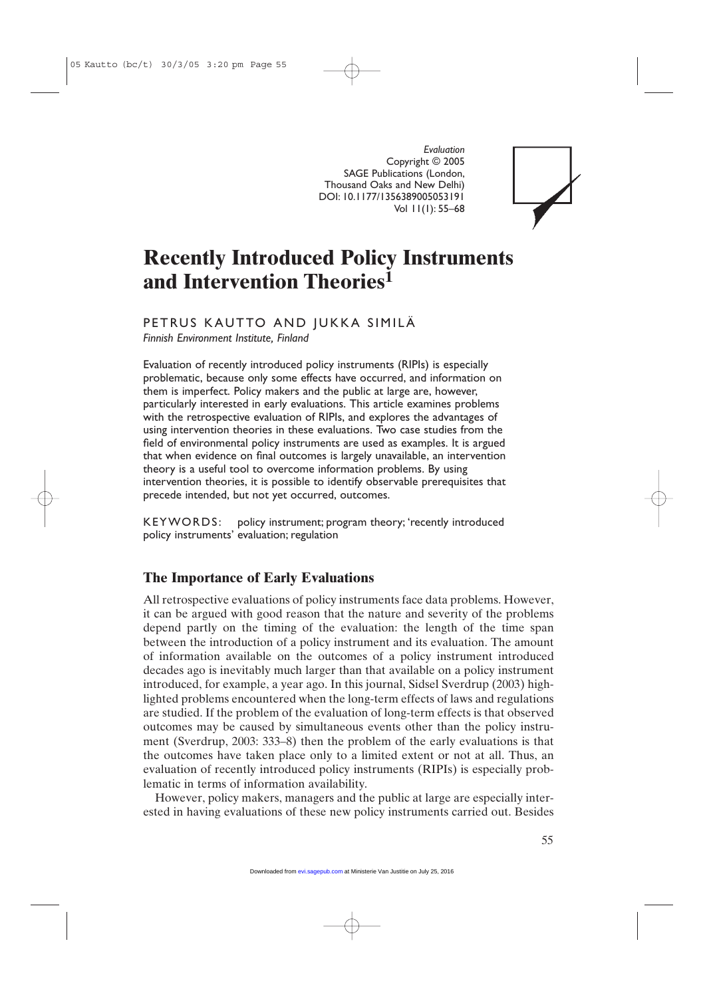*Evaluation* Copyright © 2005 SAGE Publications (London, Thousand Oaks and New Delhi) DOI: 10.1177/1356389005053191 Vol 11(1): 55–68



# **Recently Introduced Policy Instruments and Intervention Theories1**

PETRUS KAUTTO AND JUKKA SIMILÄ

*Finnish Environment Institute, Finland*

Evaluation of recently introduced policy instruments (RIPIs) is especially problematic, because only some effects have occurred, and information on them is imperfect. Policy makers and the public at large are, however, particularly interested in early evaluations. This article examines problems with the retrospective evaluation of RIPIs, and explores the advantages of using intervention theories in these evaluations. Two case studies from the field of environmental policy instruments are used as examples. It is argued that when evidence on final outcomes is largely unavailable, an intervention theory is a useful tool to overcome information problems. By using intervention theories, it is possible to identify observable prerequisites that precede intended, but not yet occurred, outcomes.

KEYWORDS: policy instrument; program theory; 'recently introduced policy instruments' evaluation; regulation

# **The Importance of Early Evaluations**

All retrospective evaluations of policy instruments face data problems. However, it can be argued with good reason that the nature and severity of the problems depend partly on the timing of the evaluation: the length of the time span between the introduction of a policy instrument and its evaluation. The amount of information available on the outcomes of a policy instrument introduced decades ago is inevitably much larger than that available on a policy instrument introduced, for example, a year ago. In this journal, Sidsel Sverdrup (2003) highlighted problems encountered when the long-term effects of laws and regulations are studied. If the problem of the evaluation of long-term effects is that observed outcomes may be caused by simultaneous events other than the policy instrument (Sverdrup, 2003: 333–8) then the problem of the early evaluations is that the outcomes have taken place only to a limited extent or not at all. Thus, an evaluation of recently introduced policy instruments (RIPIs) is especially problematic in terms of information availability.

However, policy makers, managers and the public at large are especially interested in having evaluations of these new policy instruments carried out. Besides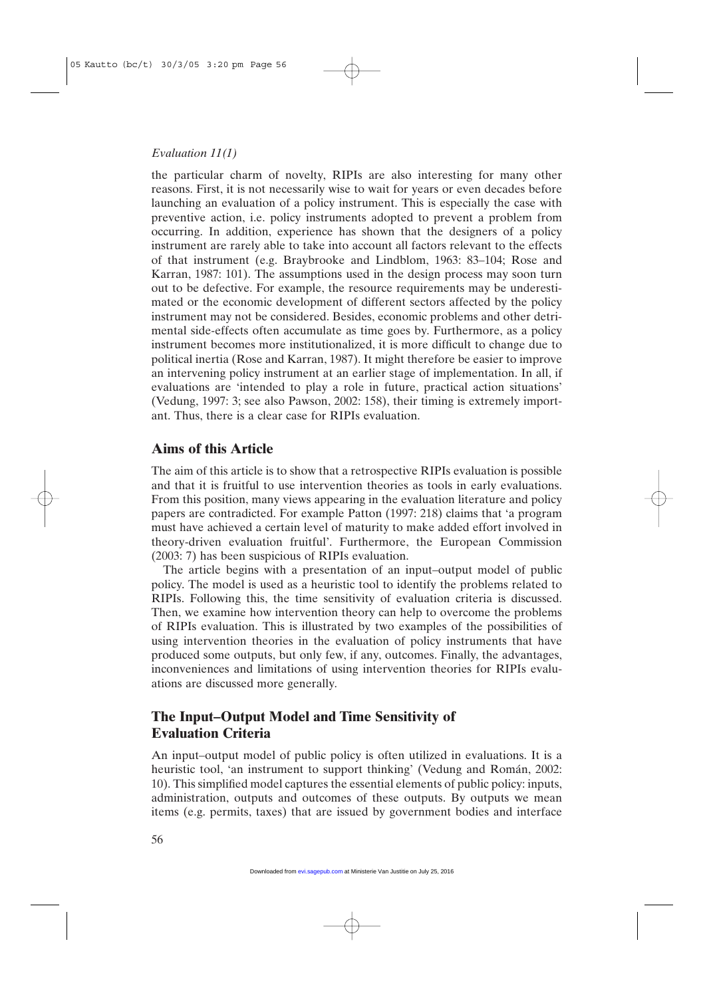the particular charm of novelty, RIPIs are also interesting for many other reasons. First, it is not necessarily wise to wait for years or even decades before launching an evaluation of a policy instrument. This is especially the case with preventive action, i.e. policy instruments adopted to prevent a problem from occurring. In addition, experience has shown that the designers of a policy instrument are rarely able to take into account all factors relevant to the effects of that instrument (e.g. Braybrooke and Lindblom, 1963: 83–104; Rose and Karran, 1987: 101). The assumptions used in the design process may soon turn out to be defective. For example, the resource requirements may be underestimated or the economic development of different sectors affected by the policy instrument may not be considered. Besides, economic problems and other detrimental side-effects often accumulate as time goes by. Furthermore, as a policy instrument becomes more institutionalized, it is more difficult to change due to political inertia (Rose and Karran, 1987). It might therefore be easier to improve an intervening policy instrument at an earlier stage of implementation. In all, if evaluations are 'intended to play a role in future, practical action situations' (Vedung, 1997: 3; see also Pawson, 2002: 158), their timing is extremely important. Thus, there is a clear case for RIPIs evaluation.

# **Aims of this Article**

The aim of this article is to show that a retrospective RIPIs evaluation is possible and that it is fruitful to use intervention theories as tools in early evaluations. From this position, many views appearing in the evaluation literature and policy papers are contradicted. For example Patton (1997: 218) claims that 'a program must have achieved a certain level of maturity to make added effort involved in theory-driven evaluation fruitful'. Furthermore, the European Commission (2003: 7) has been suspicious of RIPIs evaluation.

The article begins with a presentation of an input–output model of public policy. The model is used as a heuristic tool to identify the problems related to RIPIs. Following this, the time sensitivity of evaluation criteria is discussed. Then, we examine how intervention theory can help to overcome the problems of RIPIs evaluation. This is illustrated by two examples of the possibilities of using intervention theories in the evaluation of policy instruments that have produced some outputs, but only few, if any, outcomes. Finally, the advantages, inconveniences and limitations of using intervention theories for RIPIs evaluations are discussed more generally.

# **The Input–Output Model and Time Sensitivity of Evaluation Criteria**

An input–output model of public policy is often utilized in evaluations. It is a heuristic tool, 'an instrument to support thinking' (Vedung and Román, 2002: 10). This simplified model captures the essential elements of public policy: inputs, administration, outputs and outcomes of these outputs. By outputs we mean items (e.g. permits, taxes) that are issued by government bodies and interface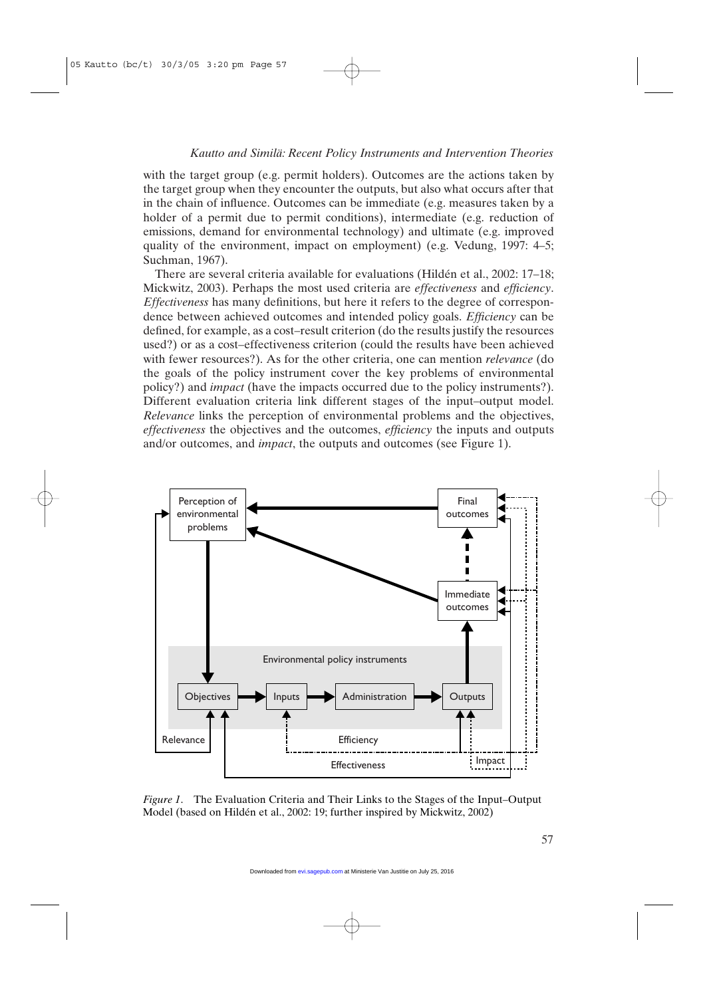with the target group (e.g. permit holders). Outcomes are the actions taken by the target group when they encounter the outputs, but also what occurs after that in the chain of influence. Outcomes can be immediate (e.g. measures taken by a holder of a permit due to permit conditions), intermediate (e.g. reduction of emissions, demand for environmental technology) and ultimate (e.g. improved quality of the environment, impact on employment) (e.g. Vedung, 1997: 4–5; Suchman, 1967).

There are several criteria available for evaluations (Hildén et al., 2002: 17–18; Mickwitz, 2003). Perhaps the most used criteria are *effectiveness* and *efficiency*. *Effectiveness* has many definitions, but here it refers to the degree of correspondence between achieved outcomes and intended policy goals. *Efficiency* can be defined, for example, as a cost–result criterion (do the results justify the resources used?) or as a cost–effectiveness criterion (could the results have been achieved with fewer resources?). As for the other criteria, one can mention *relevance* (do the goals of the policy instrument cover the key problems of environmental policy?) and *impact* (have the impacts occurred due to the policy instruments?). Different evaluation criteria link different stages of the input–output model. *Relevance* links the perception of environmental problems and the objectives, *effectiveness* the objectives and the outcomes, *efficiency* the inputs and outputs and/or outcomes, and *impact*, the outputs and outcomes (see Figure 1).



*Figure 1*. The Evaluation Criteria and Their Links to the Stages of the Input–Output Model (based on Hildén et al., 2002: 19; further inspired by Mickwitz, 2002)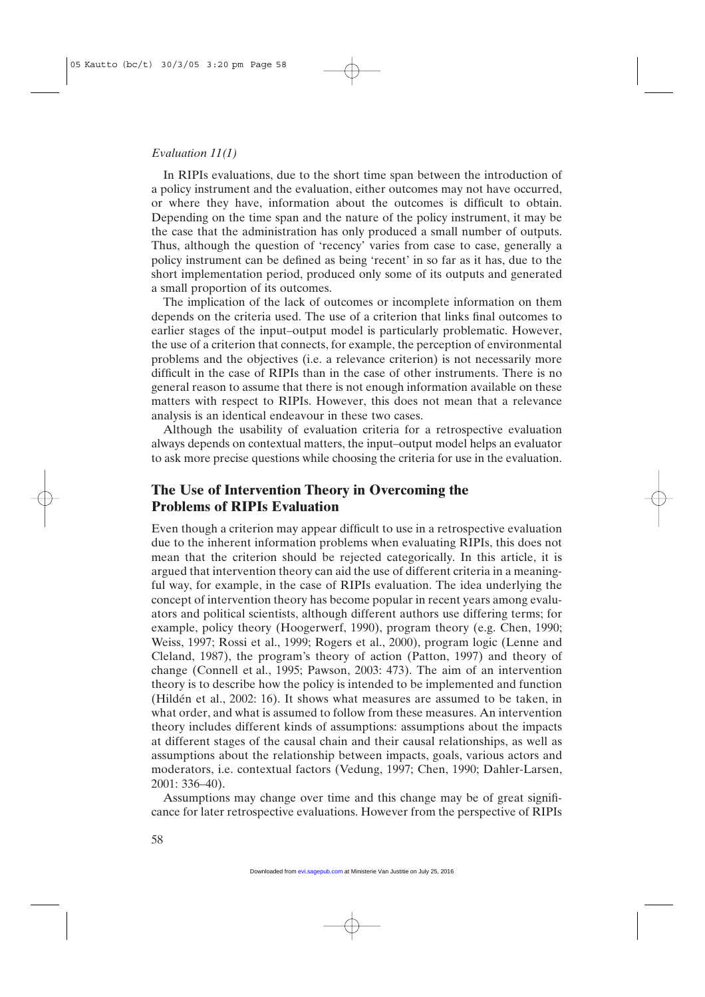In RIPIs evaluations, due to the short time span between the introduction of a policy instrument and the evaluation, either outcomes may not have occurred, or where they have, information about the outcomes is difficult to obtain. Depending on the time span and the nature of the policy instrument, it may be the case that the administration has only produced a small number of outputs. Thus, although the question of 'recency' varies from case to case, generally a policy instrument can be defined as being 'recent' in so far as it has, due to the short implementation period, produced only some of its outputs and generated a small proportion of its outcomes.

The implication of the lack of outcomes or incomplete information on them depends on the criteria used. The use of a criterion that links final outcomes to earlier stages of the input–output model is particularly problematic. However, the use of a criterion that connects, for example, the perception of environmental problems and the objectives (i.e. a relevance criterion) is not necessarily more difficult in the case of RIPIs than in the case of other instruments. There is no general reason to assume that there is not enough information available on these matters with respect to RIPIs. However, this does not mean that a relevance analysis is an identical endeavour in these two cases.

Although the usability of evaluation criteria for a retrospective evaluation always depends on contextual matters, the input–output model helps an evaluator to ask more precise questions while choosing the criteria for use in the evaluation.

# **The Use of Intervention Theory in Overcoming the Problems of RIPIs Evaluation**

Even though a criterion may appear difficult to use in a retrospective evaluation due to the inherent information problems when evaluating RIPIs, this does not mean that the criterion should be rejected categorically. In this article, it is argued that intervention theory can aid the use of different criteria in a meaningful way, for example, in the case of RIPIs evaluation. The idea underlying the concept of intervention theory has become popular in recent years among evaluators and political scientists, although different authors use differing terms; for example, policy theory (Hoogerwerf, 1990), program theory (e.g. Chen, 1990; Weiss, 1997; Rossi et al., 1999; Rogers et al., 2000), program logic (Lenne and Cleland, 1987), the program's theory of action (Patton, 1997) and theory of change (Connell et al., 1995; Pawson, 2003: 473). The aim of an intervention theory is to describe how the policy is intended to be implemented and function (Hildén et al., 2002: 16). It shows what measures are assumed to be taken, in what order, and what is assumed to follow from these measures. An intervention theory includes different kinds of assumptions: assumptions about the impacts at different stages of the causal chain and their causal relationships, as well as assumptions about the relationship between impacts, goals, various actors and moderators, i.e. contextual factors (Vedung, 1997; Chen, 1990; Dahler-Larsen, 2001: 336–40).

Assumptions may change over time and this change may be of great significance for later retrospective evaluations. However from the perspective of RIPIs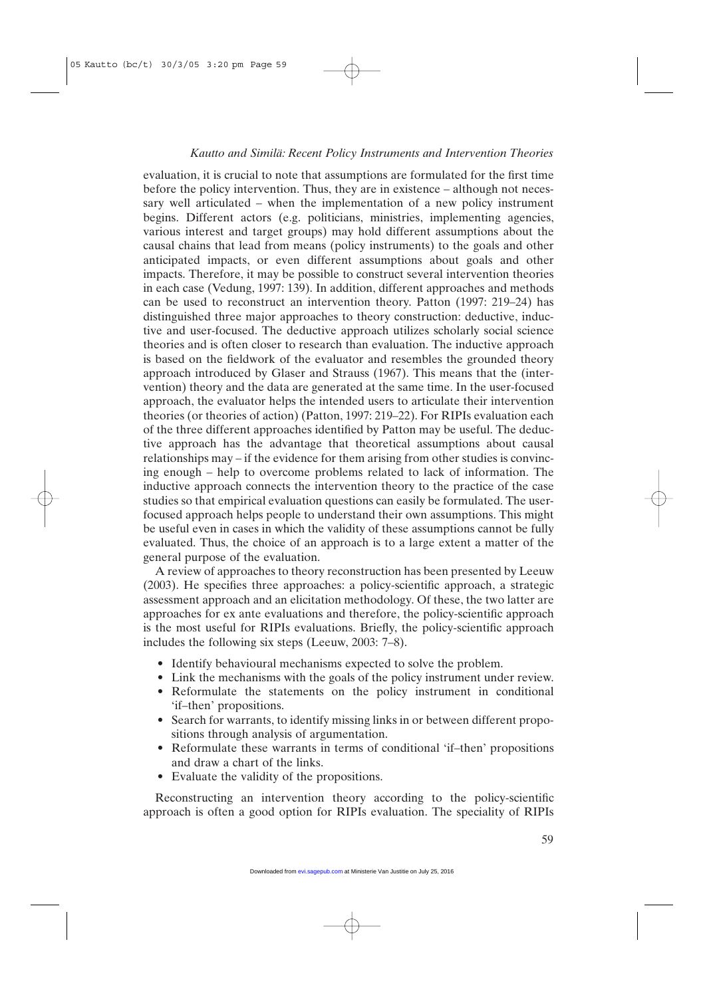evaluation, it is crucial to note that assumptions are formulated for the first time before the policy intervention. Thus, they are in existence – although not necessary well articulated – when the implementation of a new policy instrument begins. Different actors (e.g. politicians, ministries, implementing agencies, various interest and target groups) may hold different assumptions about the causal chains that lead from means (policy instruments) to the goals and other anticipated impacts, or even different assumptions about goals and other impacts. Therefore, it may be possible to construct several intervention theories in each case (Vedung, 1997: 139). In addition, different approaches and methods can be used to reconstruct an intervention theory. Patton (1997: 219–24) has distinguished three major approaches to theory construction: deductive, inductive and user-focused. The deductive approach utilizes scholarly social science theories and is often closer to research than evaluation. The inductive approach is based on the fieldwork of the evaluator and resembles the grounded theory approach introduced by Glaser and Strauss (1967). This means that the (intervention) theory and the data are generated at the same time. In the user-focused approach, the evaluator helps the intended users to articulate their intervention theories (or theories of action) (Patton, 1997: 219–22). For RIPIs evaluation each of the three different approaches identified by Patton may be useful. The deductive approach has the advantage that theoretical assumptions about causal relationships may – if the evidence for them arising from other studies is convincing enough – help to overcome problems related to lack of information. The inductive approach connects the intervention theory to the practice of the case studies so that empirical evaluation questions can easily be formulated. The userfocused approach helps people to understand their own assumptions. This might be useful even in cases in which the validity of these assumptions cannot be fully evaluated. Thus, the choice of an approach is to a large extent a matter of the general purpose of the evaluation.

A review of approaches to theory reconstruction has been presented by Leeuw (2003). He specifies three approaches: a policy-scientific approach, a strategic assessment approach and an elicitation methodology. Of these, the two latter are approaches for ex ante evaluations and therefore, the policy-scientific approach is the most useful for RIPIs evaluations. Briefly, the policy-scientific approach includes the following six steps (Leeuw, 2003: 7–8).

- Identify behavioural mechanisms expected to solve the problem.
- Link the mechanisms with the goals of the policy instrument under review.
- Reformulate the statements on the policy instrument in conditional 'if–then' propositions.
- Search for warrants, to identify missing links in or between different propositions through analysis of argumentation.
- Reformulate these warrants in terms of conditional 'if-then' propositions and draw a chart of the links.
- Evaluate the validity of the propositions.

Reconstructing an intervention theory according to the policy-scientific approach is often a good option for RIPIs evaluation. The speciality of RIPIs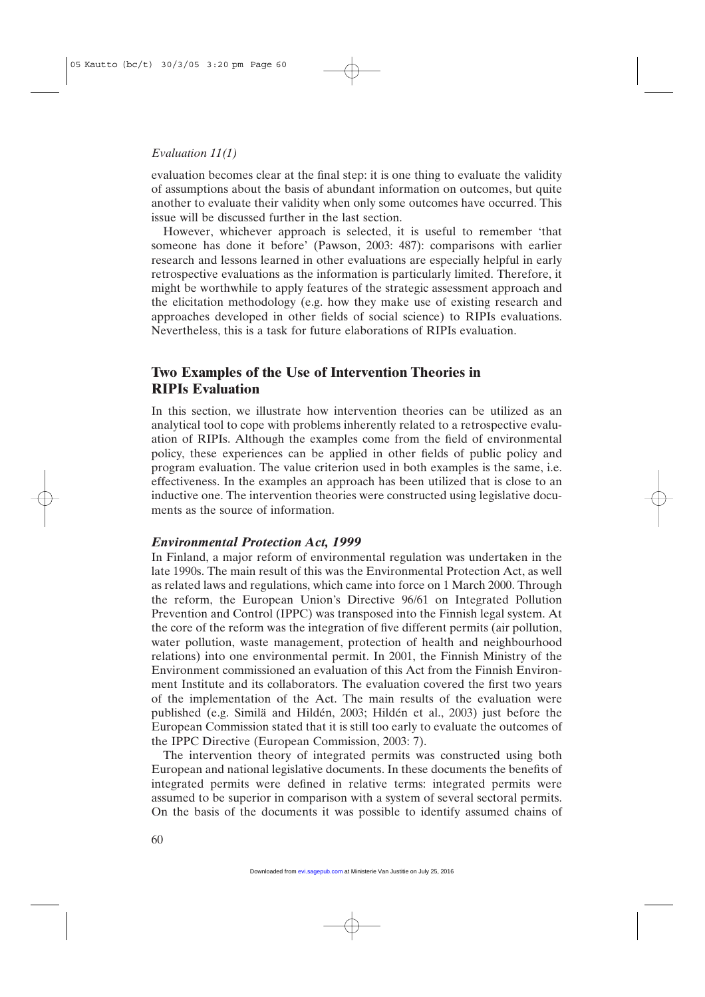evaluation becomes clear at the final step: it is one thing to evaluate the validity of assumptions about the basis of abundant information on outcomes, but quite another to evaluate their validity when only some outcomes have occurred. This issue will be discussed further in the last section.

However, whichever approach is selected, it is useful to remember 'that someone has done it before' (Pawson, 2003: 487): comparisons with earlier research and lessons learned in other evaluations are especially helpful in early retrospective evaluations as the information is particularly limited. Therefore, it might be worthwhile to apply features of the strategic assessment approach and the elicitation methodology (e.g. how they make use of existing research and approaches developed in other fields of social science) to RIPIs evaluations. Nevertheless, this is a task for future elaborations of RIPIs evaluation.

# **Two Examples of the Use of Intervention Theories in RIPIs Evaluation**

In this section, we illustrate how intervention theories can be utilized as an analytical tool to cope with problems inherently related to a retrospective evaluation of RIPIs. Although the examples come from the field of environmental policy, these experiences can be applied in other fields of public policy and program evaluation. The value criterion used in both examples is the same, i.e. effectiveness. In the examples an approach has been utilized that is close to an inductive one. The intervention theories were constructed using legislative documents as the source of information.

#### *Environmental Protection Act, 1999*

In Finland, a major reform of environmental regulation was undertaken in the late 1990s. The main result of this was the Environmental Protection Act, as well as related laws and regulations, which came into force on 1 March 2000. Through the reform, the European Union's Directive 96/61 on Integrated Pollution Prevention and Control (IPPC) was transposed into the Finnish legal system. At the core of the reform was the integration of five different permits (air pollution, water pollution, waste management, protection of health and neighbourhood relations) into one environmental permit. In 2001, the Finnish Ministry of the Environment commissioned an evaluation of this Act from the Finnish Environment Institute and its collaborators. The evaluation covered the first two years of the implementation of the Act. The main results of the evaluation were published (e.g. Similä and Hildén, 2003; Hildén et al., 2003) just before the European Commission stated that it is still too early to evaluate the outcomes of the IPPC Directive (European Commission, 2003: 7).

The intervention theory of integrated permits was constructed using both European and national legislative documents. In these documents the benefits of integrated permits were defined in relative terms: integrated permits were assumed to be superior in comparison with a system of several sectoral permits. On the basis of the documents it was possible to identify assumed chains of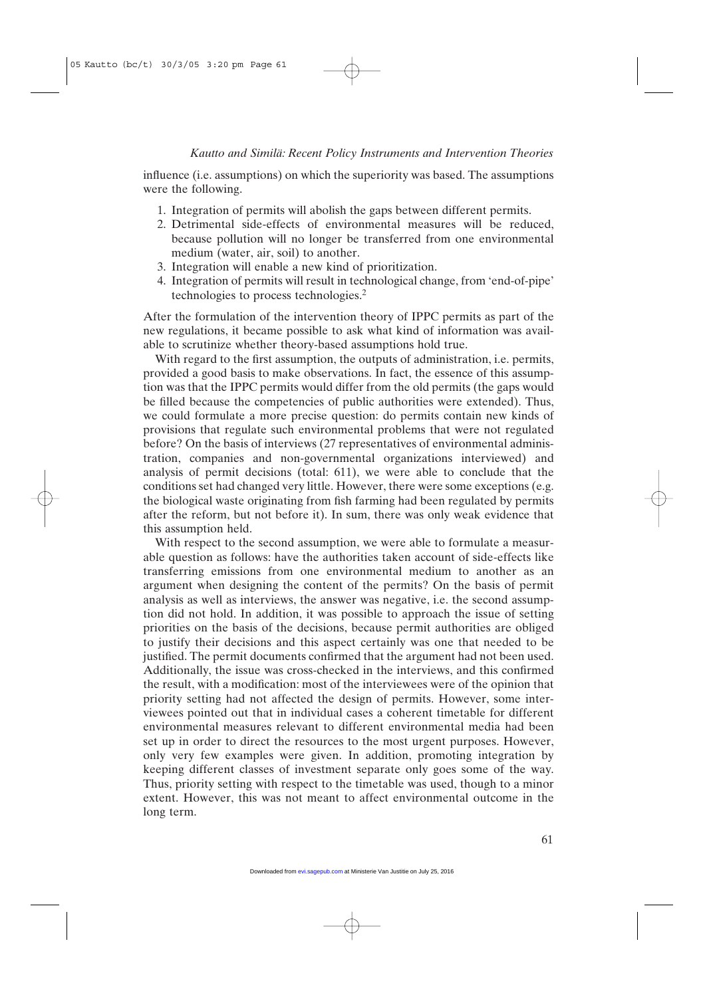influence (i.e. assumptions) on which the superiority was based. The assumptions were the following.

- 1. Integration of permits will abolish the gaps between different permits.
- 2. Detrimental side-effects of environmental measures will be reduced, because pollution will no longer be transferred from one environmental medium (water, air, soil) to another.
- 3. Integration will enable a new kind of prioritization.
- 4. Integration of permits will result in technological change, from 'end-of-pipe' technologies to process technologies.2

After the formulation of the intervention theory of IPPC permits as part of the new regulations, it became possible to ask what kind of information was available to scrutinize whether theory-based assumptions hold true.

With regard to the first assumption, the outputs of administration, *i.e.* permits, provided a good basis to make observations. In fact, the essence of this assumption was that the IPPC permits would differ from the old permits (the gaps would be filled because the competencies of public authorities were extended). Thus, we could formulate a more precise question: do permits contain new kinds of provisions that regulate such environmental problems that were not regulated before? On the basis of interviews (27 representatives of environmental administration, companies and non-governmental organizations interviewed) and analysis of permit decisions (total: 611), we were able to conclude that the conditions set had changed very little. However, there were some exceptions (e.g. the biological waste originating from fish farming had been regulated by permits after the reform, but not before it). In sum, there was only weak evidence that this assumption held.

With respect to the second assumption, we were able to formulate a measurable question as follows: have the authorities taken account of side-effects like transferring emissions from one environmental medium to another as an argument when designing the content of the permits? On the basis of permit analysis as well as interviews, the answer was negative, i.e. the second assumption did not hold. In addition, it was possible to approach the issue of setting priorities on the basis of the decisions, because permit authorities are obliged to justify their decisions and this aspect certainly was one that needed to be justified. The permit documents confirmed that the argument had not been used. Additionally, the issue was cross-checked in the interviews, and this confirmed the result, with a modification: most of the interviewees were of the opinion that priority setting had not affected the design of permits. However, some interviewees pointed out that in individual cases a coherent timetable for different environmental measures relevant to different environmental media had been set up in order to direct the resources to the most urgent purposes. However, only very few examples were given. In addition, promoting integration by keeping different classes of investment separate only goes some of the way. Thus, priority setting with respect to the timetable was used, though to a minor extent. However, this was not meant to affect environmental outcome in the long term.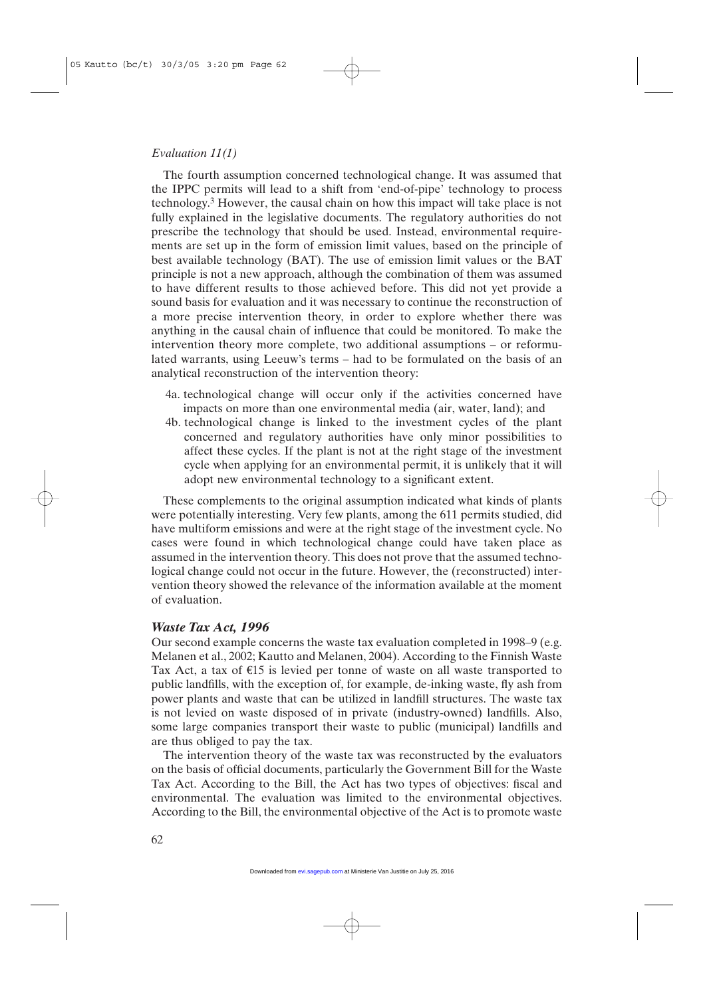The fourth assumption concerned technological change. It was assumed that the IPPC permits will lead to a shift from 'end-of-pipe' technology to process technology.3 However, the causal chain on how this impact will take place is not fully explained in the legislative documents. The regulatory authorities do not prescribe the technology that should be used. Instead, environmental requirements are set up in the form of emission limit values, based on the principle of best available technology (BAT). The use of emission limit values or the BAT principle is not a new approach, although the combination of them was assumed to have different results to those achieved before. This did not yet provide a sound basis for evaluation and it was necessary to continue the reconstruction of a more precise intervention theory, in order to explore whether there was anything in the causal chain of influence that could be monitored. To make the intervention theory more complete, two additional assumptions – or reformulated warrants, using Leeuw's terms – had to be formulated on the basis of an analytical reconstruction of the intervention theory:

- 4a. technological change will occur only if the activities concerned have impacts on more than one environmental media (air, water, land); and
- 4b. technological change is linked to the investment cycles of the plant concerned and regulatory authorities have only minor possibilities to affect these cycles. If the plant is not at the right stage of the investment cycle when applying for an environmental permit, it is unlikely that it will adopt new environmental technology to a significant extent.

These complements to the original assumption indicated what kinds of plants were potentially interesting. Very few plants, among the 611 permits studied, did have multiform emissions and were at the right stage of the investment cycle. No cases were found in which technological change could have taken place as assumed in the intervention theory. This does not prove that the assumed technological change could not occur in the future. However, the (reconstructed) intervention theory showed the relevance of the information available at the moment of evaluation.

### *Waste Tax Act, 1996*

Our second example concerns the waste tax evaluation completed in 1998–9 (e.g. Melanen et al., 2002; Kautto and Melanen, 2004). According to the Finnish Waste Tax Act, a tax of  $\epsilon$ 15 is levied per tonne of waste on all waste transported to public landfills, with the exception of, for example, de-inking waste, fly ash from power plants and waste that can be utilized in landfill structures. The waste tax is not levied on waste disposed of in private (industry-owned) landfills. Also, some large companies transport their waste to public (municipal) landfills and are thus obliged to pay the tax.

The intervention theory of the waste tax was reconstructed by the evaluators on the basis of official documents, particularly the Government Bill for the Waste Tax Act. According to the Bill, the Act has two types of objectives: fiscal and environmental. The evaluation was limited to the environmental objectives. According to the Bill, the environmental objective of the Act is to promote waste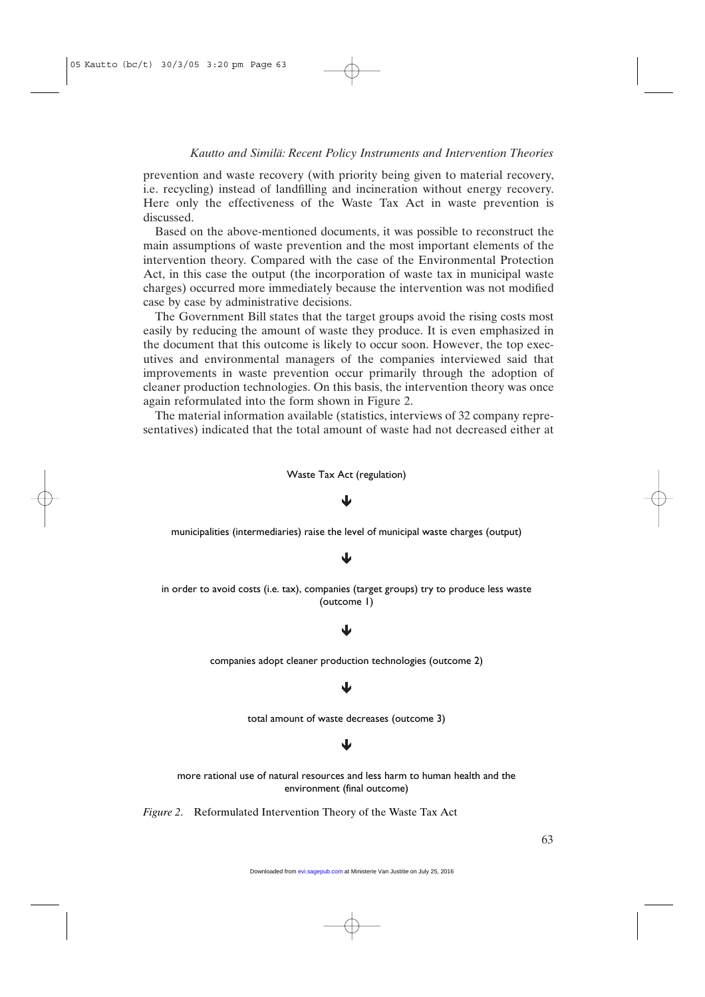prevention and waste recovery (with priority being given to material recovery, i.e. recycling) instead of landfilling and incineration without energy recovery. Here only the effectiveness of the Waste Tax Act in waste prevention is discussed.

Based on the above-mentioned documents, it was possible to reconstruct the main assumptions of waste prevention and the most important elements of the intervention theory. Compared with the case of the Environmental Protection Act, in this case the output (the incorporation of waste tax in municipal waste charges) occurred more immediately because the intervention was not modified case by case by administrative decisions.

The Government Bill states that the target groups avoid the rising costs most easily by reducing the amount of waste they produce. It is even emphasized in the document that this outcome is likely to occur soon. However, the top executives and environmental managers of the companies interviewed said that improvements in waste prevention occur primarily through the adoption of cleaner production technologies. On this basis, the intervention theory was once again reformulated into the form shown in Figure 2.

The material information available (statistics, interviews of 32 company representatives) indicated that the total amount of waste had not decreased either at

Waste Tax Act (regulation)

### ψ

municipalities (intermediaries) raise the level of municipal waste charges (output)

#### ψ

in order to avoid costs (i.e. tax), companies (target groups) try to produce less waste (outcome 1)

#### ψ

companies adopt cleaner production technologies (outcome 2)

### Ψ

total amount of waste decreases (outcome 3)

### Ψ

more rational use of natural resources and less harm to human health and the environment (final outcome)

*Figure 2*. Reformulated Intervention Theory of the Waste Tax Act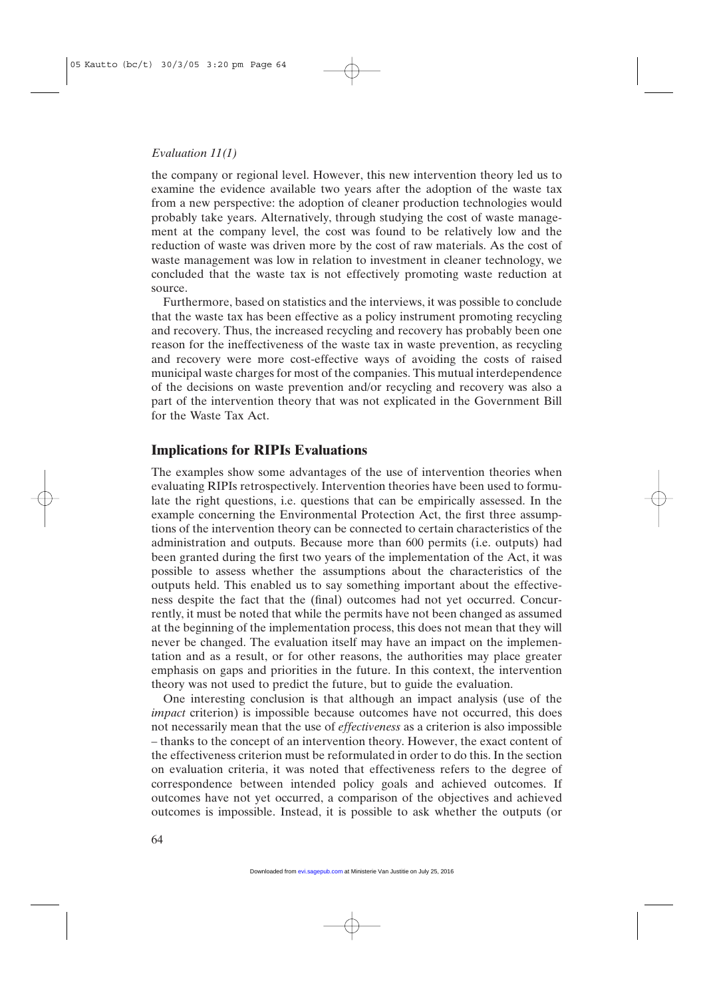the company or regional level. However, this new intervention theory led us to examine the evidence available two years after the adoption of the waste tax from a new perspective: the adoption of cleaner production technologies would probably take years. Alternatively, through studying the cost of waste management at the company level, the cost was found to be relatively low and the reduction of waste was driven more by the cost of raw materials. As the cost of waste management was low in relation to investment in cleaner technology, we concluded that the waste tax is not effectively promoting waste reduction at source.

Furthermore, based on statistics and the interviews, it was possible to conclude that the waste tax has been effective as a policy instrument promoting recycling and recovery. Thus, the increased recycling and recovery has probably been one reason for the ineffectiveness of the waste tax in waste prevention, as recycling and recovery were more cost-effective ways of avoiding the costs of raised municipal waste charges for most of the companies. This mutual interdependence of the decisions on waste prevention and/or recycling and recovery was also a part of the intervention theory that was not explicated in the Government Bill for the Waste Tax Act.

# **Implications for RIPIs Evaluations**

The examples show some advantages of the use of intervention theories when evaluating RIPIs retrospectively. Intervention theories have been used to formulate the right questions, i.e. questions that can be empirically assessed. In the example concerning the Environmental Protection Act, the first three assumptions of the intervention theory can be connected to certain characteristics of the administration and outputs. Because more than 600 permits (i.e. outputs) had been granted during the first two years of the implementation of the Act, it was possible to assess whether the assumptions about the characteristics of the outputs held. This enabled us to say something important about the effectiveness despite the fact that the (final) outcomes had not yet occurred. Concurrently, it must be noted that while the permits have not been changed as assumed at the beginning of the implementation process, this does not mean that they will never be changed. The evaluation itself may have an impact on the implementation and as a result, or for other reasons, the authorities may place greater emphasis on gaps and priorities in the future. In this context, the intervention theory was not used to predict the future, but to guide the evaluation.

One interesting conclusion is that although an impact analysis (use of the *impact* criterion) is impossible because outcomes have not occurred, this does not necessarily mean that the use of *effectiveness* as a criterion is also impossible – thanks to the concept of an intervention theory. However, the exact content of the effectiveness criterion must be reformulated in order to do this. In the section on evaluation criteria, it was noted that effectiveness refers to the degree of correspondence between intended policy goals and achieved outcomes. If outcomes have not yet occurred, a comparison of the objectives and achieved outcomes is impossible. Instead, it is possible to ask whether the outputs (or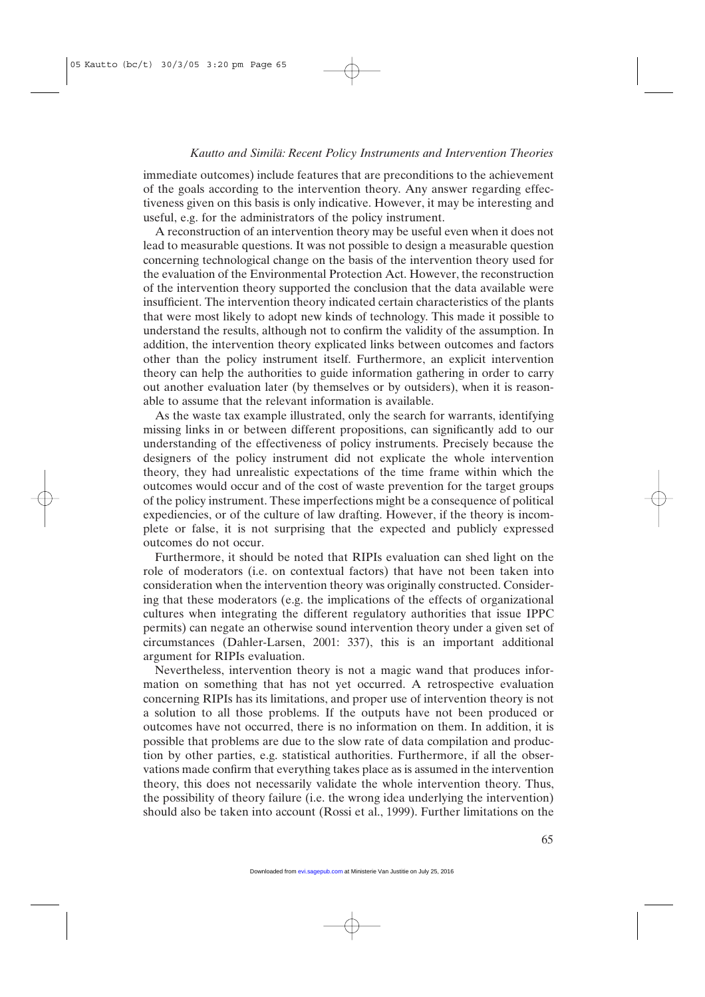#### *Kautto and Similä: Recent Policy Instruments and Intervention Theories*

immediate outcomes) include features that are preconditions to the achievement of the goals according to the intervention theory. Any answer regarding effectiveness given on this basis is only indicative. However, it may be interesting and useful, e.g. for the administrators of the policy instrument.

A reconstruction of an intervention theory may be useful even when it does not lead to measurable questions. It was not possible to design a measurable question concerning technological change on the basis of the intervention theory used for the evaluation of the Environmental Protection Act. However, the reconstruction of the intervention theory supported the conclusion that the data available were insufficient. The intervention theory indicated certain characteristics of the plants that were most likely to adopt new kinds of technology. This made it possible to understand the results, although not to confirm the validity of the assumption. In addition, the intervention theory explicated links between outcomes and factors other than the policy instrument itself. Furthermore, an explicit intervention theory can help the authorities to guide information gathering in order to carry out another evaluation later (by themselves or by outsiders), when it is reasonable to assume that the relevant information is available.

As the waste tax example illustrated, only the search for warrants, identifying missing links in or between different propositions, can significantly add to our understanding of the effectiveness of policy instruments. Precisely because the designers of the policy instrument did not explicate the whole intervention theory, they had unrealistic expectations of the time frame within which the outcomes would occur and of the cost of waste prevention for the target groups of the policy instrument. These imperfections might be a consequence of political expediencies, or of the culture of law drafting. However, if the theory is incomplete or false, it is not surprising that the expected and publicly expressed outcomes do not occur.

Furthermore, it should be noted that RIPIs evaluation can shed light on the role of moderators (i.e. on contextual factors) that have not been taken into consideration when the intervention theory was originally constructed. Considering that these moderators (e.g. the implications of the effects of organizational cultures when integrating the different regulatory authorities that issue IPPC permits) can negate an otherwise sound intervention theory under a given set of circumstances (Dahler-Larsen, 2001: 337), this is an important additional argument for RIPIs evaluation.

Nevertheless, intervention theory is not a magic wand that produces information on something that has not yet occurred. A retrospective evaluation concerning RIPIs has its limitations, and proper use of intervention theory is not a solution to all those problems. If the outputs have not been produced or outcomes have not occurred, there is no information on them. In addition, it is possible that problems are due to the slow rate of data compilation and production by other parties, e.g. statistical authorities. Furthermore, if all the observations made confirm that everything takes place as is assumed in the intervention theory, this does not necessarily validate the whole intervention theory. Thus, the possibility of theory failure (i.e. the wrong idea underlying the intervention) should also be taken into account (Rossi et al., 1999). Further limitations on the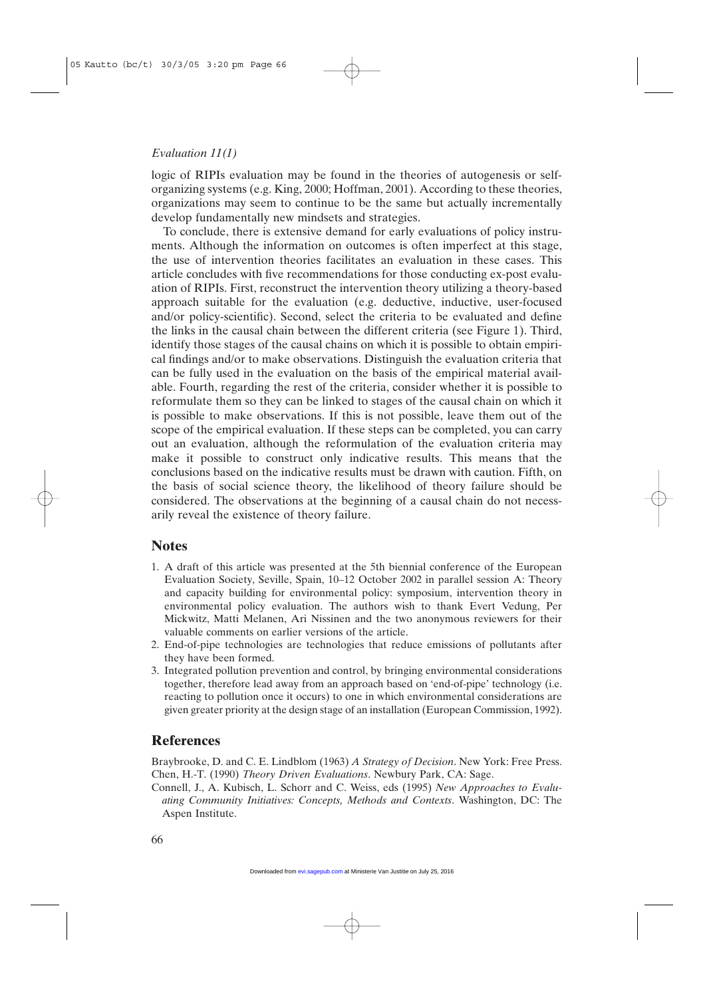logic of RIPIs evaluation may be found in the theories of autogenesis or selforganizing systems (e.g. King, 2000; Hoffman, 2001). According to these theories, organizations may seem to continue to be the same but actually incrementally develop fundamentally new mindsets and strategies.

To conclude, there is extensive demand for early evaluations of policy instruments. Although the information on outcomes is often imperfect at this stage, the use of intervention theories facilitates an evaluation in these cases. This article concludes with five recommendations for those conducting ex-post evaluation of RIPIs. First, reconstruct the intervention theory utilizing a theory-based approach suitable for the evaluation (e.g. deductive, inductive, user-focused and/or policy-scientific). Second, select the criteria to be evaluated and define the links in the causal chain between the different criteria (see Figure 1). Third, identify those stages of the causal chains on which it is possible to obtain empirical findings and/or to make observations. Distinguish the evaluation criteria that can be fully used in the evaluation on the basis of the empirical material available. Fourth, regarding the rest of the criteria, consider whether it is possible to reformulate them so they can be linked to stages of the causal chain on which it is possible to make observations. If this is not possible, leave them out of the scope of the empirical evaluation. If these steps can be completed, you can carry out an evaluation, although the reformulation of the evaluation criteria may make it possible to construct only indicative results. This means that the conclusions based on the indicative results must be drawn with caution. Fifth, on the basis of social science theory, the likelihood of theory failure should be considered. The observations at the beginning of a causal chain do not necessarily reveal the existence of theory failure.

## **Notes**

- 1. A draft of this article was presented at the 5th biennial conference of the European Evaluation Society, Seville, Spain, 10–12 October 2002 in parallel session A: Theory and capacity building for environmental policy: symposium, intervention theory in environmental policy evaluation. The authors wish to thank Evert Vedung, Per Mickwitz, Matti Melanen, Ari Nissinen and the two anonymous reviewers for their valuable comments on earlier versions of the article.
- 2. End-of-pipe technologies are technologies that reduce emissions of pollutants after they have been formed.
- 3. Integrated pollution prevention and control, by bringing environmental considerations together, therefore lead away from an approach based on 'end-of-pipe' technology (i.e. reacting to pollution once it occurs) to one in which environmental considerations are given greater priority at the design stage of an installation (European Commission, 1992).

### **References**

Braybrooke, D. and C. E. Lindblom (1963) *A Strategy of Decision*. New York: Free Press. Chen, H.-T. (1990) *Theory Driven Evaluations*. Newbury Park, CA: Sage.

Connell, J., A. Kubisch, L. Schorr and C. Weiss, eds (1995) *New Approaches to Evaluating Community Initiatives: Concepts, Methods and Contexts*. Washington, DC: The Aspen Institute.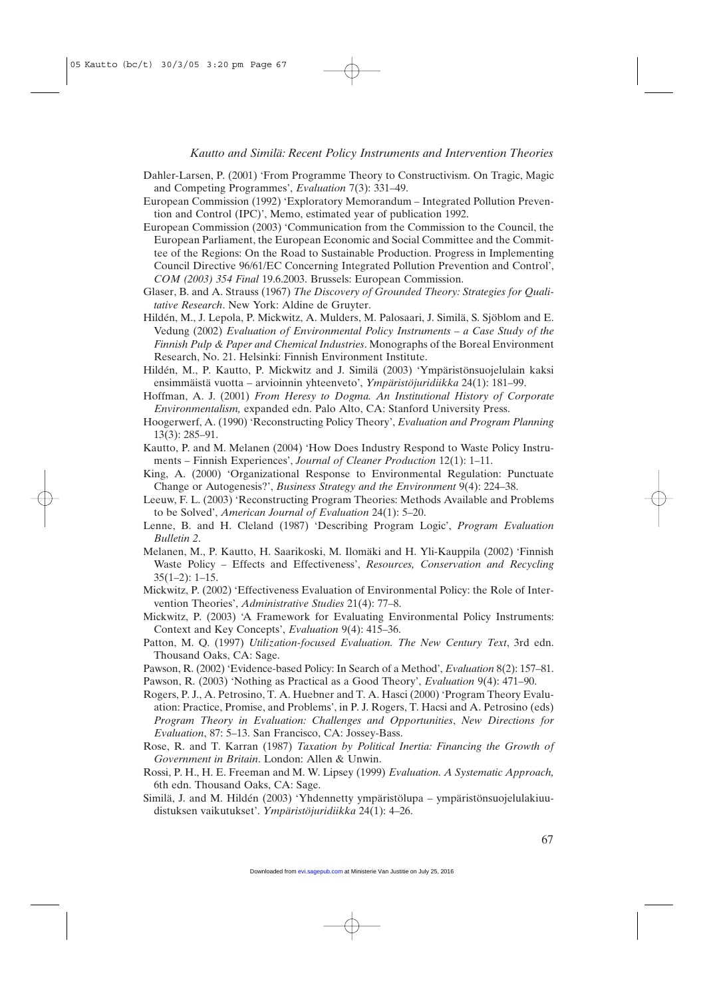#### *Kautto and Similä: Recent Policy Instruments and Intervention Theories*

- Dahler-Larsen, P. (2001) 'From Programme Theory to Constructivism. On Tragic, Magic and Competing Programmes', *Evaluation* 7(3): 331–49.
- European Commission (1992) 'Exploratory Memorandum Integrated Pollution Prevention and Control (IPC)', Memo, estimated year of publication 1992.
- European Commission (2003) 'Communication from the Commission to the Council, the European Parliament, the European Economic and Social Committee and the Committee of the Regions: On the Road to Sustainable Production. Progress in Implementing Council Directive 96/61/EC Concerning Integrated Pollution Prevention and Control', *COM (2003) 354 Final* 19.6.2003. Brussels: European Commission.
- Glaser, B. and A. Strauss (1967) *The Discovery of Grounded Theory: Strategies for Qualitative Research*. New York: Aldine de Gruyter.
- Hildén, M., J. Lepola, P. Mickwitz, A. Mulders, M. Palosaari, J. Similä, S. Sjöblom and E. Vedung (2002) *Evaluation of Environmental Policy Instruments – a Case Study of the Finnish Pulp & Paper and Chemical Industries*. Monographs of the Boreal Environment Research, No. 21. Helsinki: Finnish Environment Institute.
- Hildén, M., P. Kautto, P. Mickwitz and J. Similä (2003) 'Ympäristönsuojelulain kaksi ensimmäistä vuotta – arvioinnin yhteenveto', *Ympäristöjuridiikka* 24(1): 181–99.
- Hoffman, A. J. (2001) *From Heresy to Dogma. An Institutional History of Corporate Environmentalism,* expanded edn. Palo Alto, CA: Stanford University Press.
- Hoogerwerf, A. (1990) 'Reconstructing Policy Theory', *Evaluation and Program Planning* 13(3): 285–91.
- Kautto, P. and M. Melanen (2004) 'How Does Industry Respond to Waste Policy Instruments – Finnish Experiences', *Journal of Cleaner Production* 12(1): 1–11.
- King, A. (2000) 'Organizational Response to Environmental Regulation: Punctuate Change or Autogenesis?', *Business Strategy and the Environment* 9(4): 224–38.
- Leeuw, F. L. (2003) 'Reconstructing Program Theories: Methods Available and Problems to be Solved', *American Journal of Evaluation* 24(1): 5–20.
- Lenne, B. and H. Cleland (1987) 'Describing Program Logic', *Program Evaluation Bulletin 2*.
- Melanen, M., P. Kautto, H. Saarikoski, M. Ilomäki and H. Yli-Kauppila (2002) 'Finnish Waste Policy – Effects and Effectiveness', *Resources, Conservation and Recycling* 35(1–2): 1–15.
- Mickwitz, P. (2002) 'Effectiveness Evaluation of Environmental Policy: the Role of Intervention Theories', *Administrative Studies* 21(4): 77–8.
- Mickwitz, P. (2003) 'A Framework for Evaluating Environmental Policy Instruments: Context and Key Concepts', *Evaluation* 9(4): 415–36.
- Patton, M. Q. (1997) *Utilization-focused Evaluation. The New Century Text*, 3rd edn. Thousand Oaks, CA: Sage.
- Pawson, R. (2002) 'Evidence-based Policy: In Search of a Method', *Evaluation* 8(2): 157–81.
- Pawson, R. (2003) 'Nothing as Practical as a Good Theory', *Evaluation* 9(4): 471–90.
- Rogers, P. J., A. Petrosino, T. A. Huebner and T. A. Hasci (2000) 'Program Theory Evaluation: Practice, Promise, and Problems', in P. J. Rogers, T. Hacsi and A. Petrosino (eds) *Program Theory in Evaluation: Challenges and Opportunities*, *New Directions for Evaluation*, 87: 5–13. San Francisco, CA: Jossey-Bass.
- Rose, R. and T. Karran (1987) *Taxation by Political Inertia: Financing the Growth of Government in Britain*. London: Allen & Unwin.
- Rossi, P. H., H. E. Freeman and M. W. Lipsey (1999) *Evaluation. A Systematic Approach,* 6th edn. Thousand Oaks, CA: Sage.
- Similä, J. and M. Hildén (2003) 'Yhdennetty ympäristölupa ympäristönsuojelulakiuudistuksen vaikutukset'. *Ympäristöjuridiikka* 24(1): 4–26.